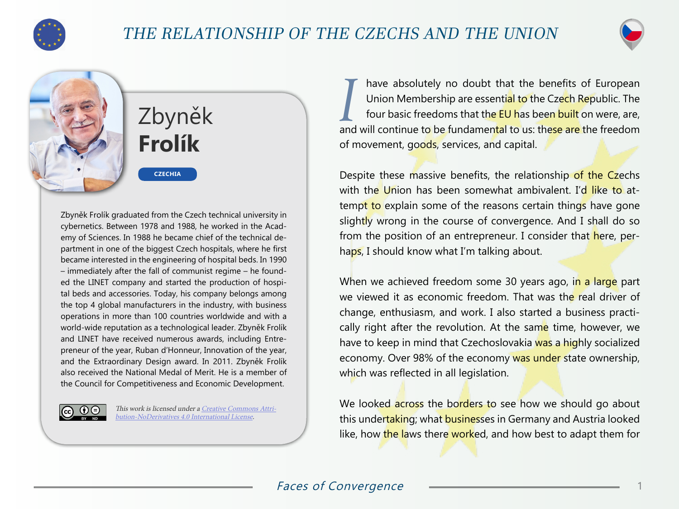



## Zbyněk **Frolík**

**CZECHIA**

Zbyněk Frolík graduated from the Czech technical university in cybernetics. Between 1978 and 1988, he worked in the Academy of Sciences. In 1988 he became chief of the technical department in one of the biggest Czech hospitals, where he first became interested in the engineering of hospital beds. In 1990 – immediately after the fall of communist regime – he founded the LINET company and started the production of hospital beds and accessories. Today, his company belongs among the top 4 global manufacturers in the industry, with business operations in more than 100 countries worldwide and with a world-wide reputation as a technological leader. Zbyněk Frolík and LINET have received numerous awards, including Entrepreneur of the year, Ruban d'Honneur, Innovation of the year, and the Extraordinary Design award. In 2011. Zbyněk Frolík also received the National Medal of Merit. He is a member of the Council for Competitiveness and Economic Development.



This work is licensed under a [Creative Commons Attri](https://creativecommons.org/licenses/by-nd/4.0/)[bution-NoDerivatives 4.0 International License](https://creativecommons.org/licenses/by-nd/4.0/).

*I* have absolutely no doubt that the benefits of European Union Membership are essential to the Czech Republic. The four basic freedoms that the EU has been built on were, are, and will continue to be fundamental to us: these are the freedom of movement, goods, services, and capital.

Despite these massive benefits, the relationship of the Czechs with the Union has been somewhat ambivalent. I'd like to attempt to explain some of the reasons certain things have gone slightly wrong in the course of convergence. And I shall do so from the position of an entrepreneur. I consider that here, perhaps, I should know what I'm talking about.

When we achieved freedom some 30 years ago, in a large part we viewed it as economic freedom. That was the real driver of change, enthusiasm, and work. I also started a business practically right after the revolution. At the same time, however, we have to keep in mind that Czechoslovakia was a highly socialized economy. Over 98% of the economy was under state ownership, which was reflected in all legislation.

We looked across the borders to see how we should go about this undertaking; what businesses in Germany and Austria looked like, how the laws there worked, and how best to adapt them for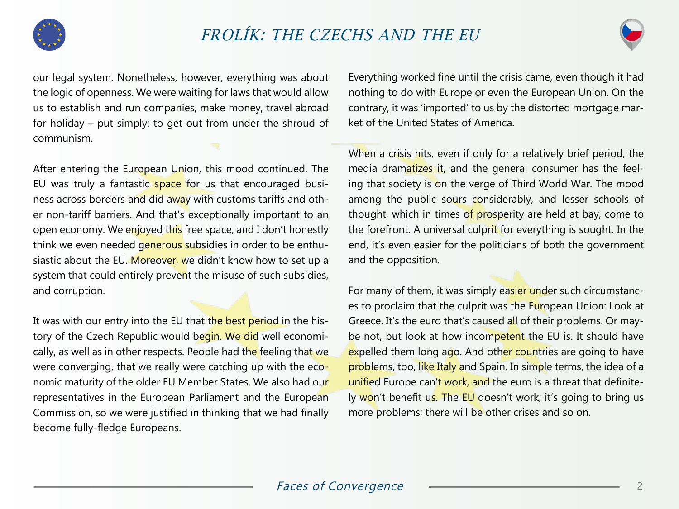



our legal system. Nonetheless, however, everything was about the logic of openness. We were waiting for laws that would allow us to establish and run companies, make money, travel abroad for holiday – put simply: to get out from under the shroud of communism.

After entering the European Union, this mood continued. The EU was truly a fantastic space for us that encouraged business across borders and did away with customs tariffs and other non-tariff barriers. And that's exceptionally important to an open economy. We enjoyed this free space, and I don't honestly think we even needed generous subsidies in order to be enthusiastic about the EU. Moreover, we didn't know how to set up a system that could entirely prevent the misuse of such subsidies, and corruption.

It was with our entry into the EU that the best period in the history of the Czech Republic would begin. We did well economically, as well as in other respects. People had the feeling that we were converging, that we really were catching up with the economic maturity of the older EU Member States. We also had our representatives in the European Parliament and the European Commission, so we were justified in thinking that we had finally become fully-fledge Europeans.

Everything worked fine until the crisis came, even though it had nothing to do with Europe or even the European Union. On the contrary, it was 'imported' to us by the distorted mortgage market of the United States of America.

When a crisis hits, even if only for a relatively brief period, the media dramatizes it, and the general consumer has the feeling that society is on the verge of Third World War. The mood among the public sours considerably, and lesser schools of thought, which in times of prosperity are held at bay, come to the forefront. A universal culprit for everything is sought. In the end, it's even easier for the politicians of both the government and the opposition.

For many of them, it was simply easier under such circumstances to proclaim that the culprit was the European Union: Look at Greece. It's the euro that's caused all of their problems. Or maybe not, but look at how incompetent the EU is. It should have expelled them long ago. And other countries are going to have problems, too, like Italy and Spain. In simple terms, the idea of a unified Europe can't work, and the euro is a threat that definitely won't benefit us. The EU doesn't work; it's going to bring us more problems; there will be other crises and so on.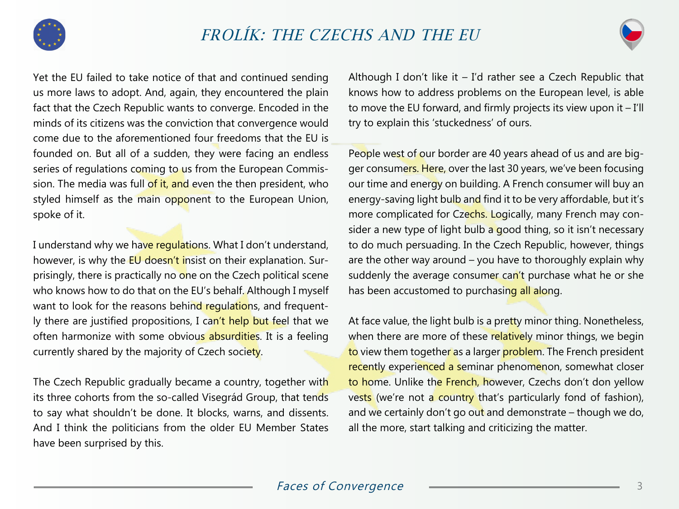



Yet the EU failed to take notice of that and continued sending us more laws to adopt. And, again, they encountered the plain fact that the Czech Republic wants to converge. Encoded in the minds of its citizens was the conviction that convergence would come due to the aforementioned four freedoms that the EU is founded on. But all of a sudden, they were facing an endless series of regulations coming to us from the European Commission. The media was full of it, and even the then president, who styled himself as the main opponent to the European Union, spoke of it.

I understand why we have regulations. What I don't understand, however, is why the EU doesn't insist on their explanation. Surprisingly, there is practically no one on the Czech political scene who knows how to do that on the EU's behalf. Although I myself want to look for the reasons behind regulations, and frequently there are justified propositions, I can't help but feel that we often harmonize with some obvious absurdities. It is a feeling currently shared by the majority of Czech society.

The Czech Republic gradually became a country, together with its three cohorts from the so-called Visegrád Group, that tends to say what shouldn't be done. It blocks, warns, and dissents. And I think the politicians from the older EU Member States have been surprised by this.

Although I don't like it  $-$  I'd rather see a Czech Republic that knows how to address problems on the European level, is able to move the EU forward, and firmly projects its view upon it – I'll try to explain this 'stuckedness' of ours.

People west of our border are 40 years ahead of us and are bigger consumers. Here, over the last 30 years, we've been focusing our time and energy on building. A French consumer will buy an energy-saving light bulb and find it to be very affordable, but it's more complicated for Czechs. Logically, many French may consider a new type of light bulb a good thing, so it isn't necessary to do much persuading. In the Czech Republic, however, things are the other way around – you have to thoroughly explain why suddenly the average consumer can't purchase what he or she has been accustomed to purchasing all along.

At face value, the light bulb is a pretty minor thing. Nonetheless, when there are more of these relatively minor things, we begin to view them together as a larger problem. The French president recently experienced a seminar phenomenon, somewhat closer to home. Unlike the French, however, Czechs don't don yellow vests (we're not a country that's particularly fond of fashion), and we certainly don't go out and demonstrate – though we do, all the more, start talking and criticizing the matter.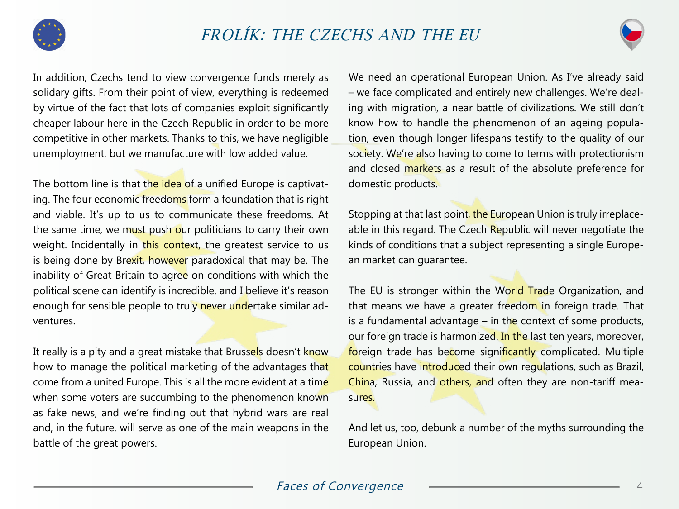



In addition, Czechs tend to view convergence funds merely as solidary gifts. From their point of view, everything is redeemed by virtue of the fact that lots of companies exploit significantly cheaper labour here in the Czech Republic in order to be more competitive in other markets. Thanks to this, we have negligible unemployment, but we manufacture with low added value.

The bottom line is that the idea of a unified Europe is captivating. The four economic freedoms form a foundation that is right and viable. It's up to us to communicate these freedoms. At the same time, we must push our politicians to carry their own weight. Incidentally in this context, the greatest service to us is being done by Brexit, however paradoxical that may be. The inability of Great Britain to agree on conditions with which the political scene can identify is incredible, and I believe it's reason enough for sensible people to truly never undertake similar adventures.

It really is a pity and a great mistake that Brussels doesn't know how to manage the political marketing of the advantages that come from a united Europe. This is all the more evident at a time when some voters are succumbing to the phenomenon known as fake news, and we're finding out that hybrid wars are real and, in the future, will serve as one of the main weapons in the battle of the great powers.

We need an operational European Union. As I've already said – we face complicated and entirely new challenges. We're dealing with migration, a near battle of civilizations. We still don't know how to handle the phenomenon of an ageing population, even though longer lifespans testify to the quality of our society. We're also having to come to terms with protectionism and closed markets as a result of the absolute preference for domestic products.

Stopping at that last point, the European Union is truly irreplaceable in this regard. The Czech Republic will never negotiate the kinds of conditions that a subject representing a single European market can guarantee.

The EU is stronger within the World Trade Organization, and that means we have a greater freedom in foreign trade. That is a fundamental advantage  $-$  in the context of some products, our foreign trade is harmonized. In the last ten years, moreover, foreign trade has become significantly complicated. Multiple countries have introduced their own regulations, such as Brazil, China, Russia, and others, and often they are non-tariff measures.

And let us, too, debunk a number of the myths surrounding the European Union.